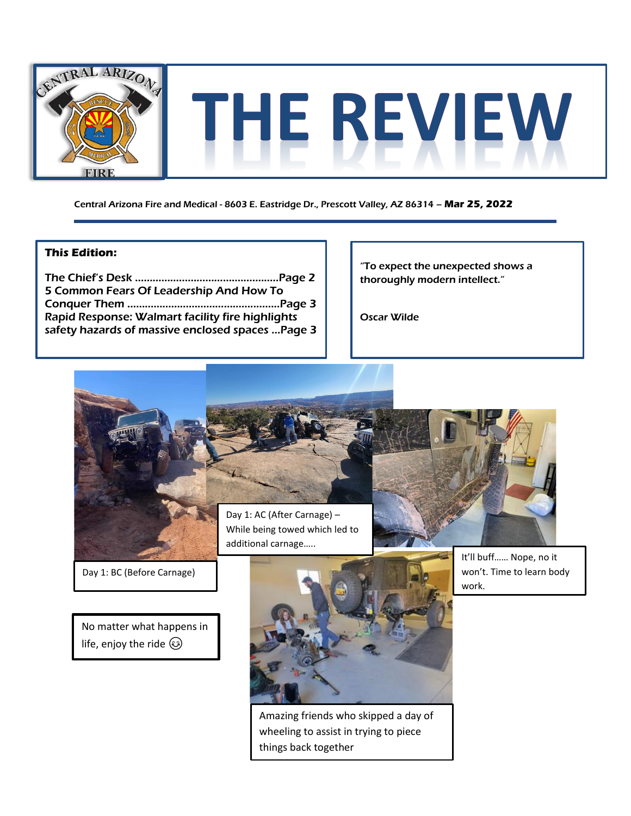

Central Arizona Fire and Medical - 8603 E. Eastridge Dr., Prescott Valley, AZ 86314 – **Mar 25, 2022**

#### **This Edition:**

The Chief's Desk ………………………………..………..Page 2 5 Common Fears Of Leadership And How To Conquer Them ……………………………………....…...Page 3 Rapid Response: Walmart facility fire highlights safety hazards of massive enclosed spaces …Page 3

"To expect the unexpected shows a thoroughly modern intellect."

Oscar Wilde



Amazing friends who skipped a day of wheeling to assist in trying to piece things back together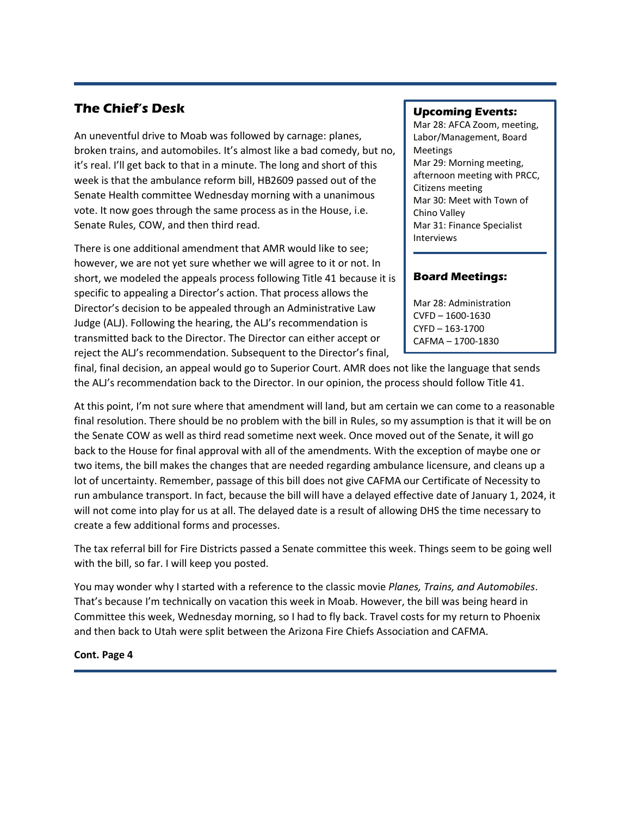### **The Chief's Desk**

An uneventful drive to Moab was followed by carnage: planes, broken trains, and automobiles. It's almost like a bad comedy, but no, it's real. I'll get back to that in a minute. The long and short of this week is that the ambulance reform bill, HB2609 passed out of the Senate Health committee Wednesday morning with a unanimous vote. It now goes through the same process as in the House, i.e. Senate Rules, COW, and then third read.

There is one additional amendment that AMR would like to see; however, we are not yet sure whether we will agree to it or not. In short, we modeled the appeals process following Title 41 because it is specific to appealing a Director's action. That process allows the Director's decision to be appealed through an Administrative Law Judge (ALJ). Following the hearing, the ALJ's recommendation is transmitted back to the Director. The Director can either accept or reject the ALJ's recommendation. Subsequent to the Director's final,

#### **Upcoming Events:**

Mar 28: AFCA Zoom, meeting, Labor/Management, Board Meetings Mar 29: Morning meeting, afternoon meeting with PRCC, Citizens meeting Mar 30: Meet with Town of Chino Valley Mar 31: Finance Specialist Interviews

#### **Board Meetings:**

Mar 28: Administration CVFD – 1600-1630 CYFD – 163-1700 CAFMA – 1700-1830

final, final decision, an appeal would go to Superior Court. AMR does not like the language that sends the ALJ's recommendation back to the Director. In our opinion, the process should follow Title 41.

At this point, I'm not sure where that amendment will land, but am certain we can come to a reasonable final resolution. There should be no problem with the bill in Rules, so my assumption is that it will be on the Senate COW as well as third read sometime next week. Once moved out of the Senate, it will go back to the House for final approval with all of the amendments. With the exception of maybe one or two items, the bill makes the changes that are needed regarding ambulance licensure, and cleans up a lot of uncertainty. Remember, passage of this bill does not give CAFMA our Certificate of Necessity to run ambulance transport. In fact, because the bill will have a delayed effective date of January 1, 2024, it will not come into play for us at all. The delayed date is a result of allowing DHS the time necessary to create a few additional forms and processes.

The tax referral bill for Fire Districts passed a Senate committee this week. Things seem to be going well with the bill, so far. I will keep you posted.

You may wonder why I started with a reference to the classic movie *Planes, Trains, and Automobiles*. That's because I'm technically on vacation this week in Moab. However, the bill was being heard in Committee this week, Wednesday morning, so I had to fly back. Travel costs for my return to Phoenix and then back to Utah were split between the Arizona Fire Chiefs Association and CAFMA.

#### **Cont. Page 4**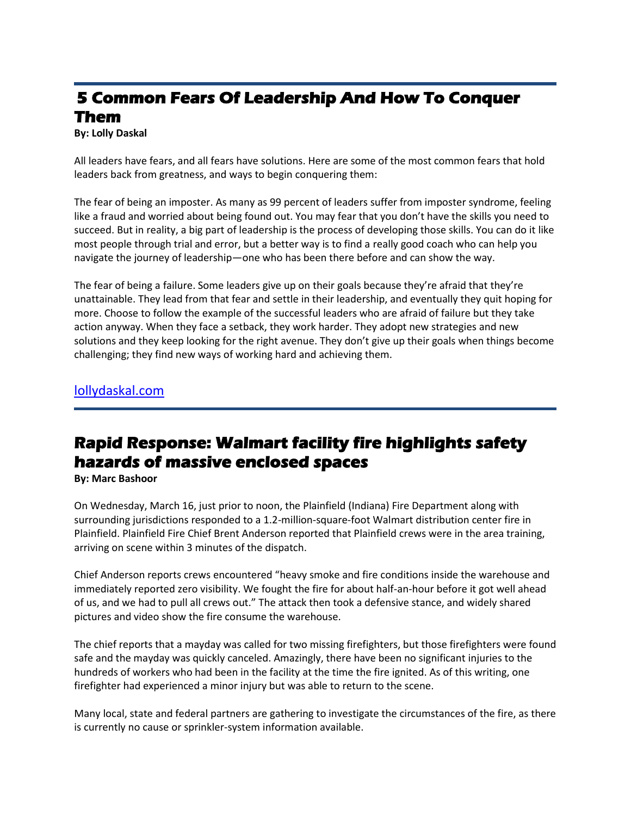# **5 Common Fears Of Leadership And How To Conquer Them**

**By: Lolly Daskal** 

All leaders have fears, and all fears have solutions. Here are some of the most common fears that hold leaders back from greatness, and ways to begin conquering them:

The fear of being an imposter. As many as 99 percent of leaders suffer from imposter syndrome, feeling like a fraud and worried about being found out. You may fear that you don't have the skills you need to succeed. But in reality, a big part of leadership is the process of developing those skills. You can do it like most people through trial and error, but a better way is to find a really good coach who can help you navigate the journey of leadership—one who has been there before and can show the way.

The fear of being a failure. Some leaders give up on their goals because they're afraid that they're unattainable. They lead from that fear and settle in their leadership, and eventually they quit hoping for more. Choose to follow the example of the successful leaders who are afraid of failure but they take action anyway. When they face a setback, they work harder. They adopt new strategies and new solutions and they keep looking for the right avenue. They don't give up their goals when things become challenging; they find new ways of working hard and achieving them.

[lollydaskal.com](https://www.lollydaskal.com/leadership/5-common-fears-of-leadership-and-how-to-conquer-them/)

## **Rapid Response: Walmart facility fire highlights safety hazards of massive enclosed spaces**

**By: Marc Bashoor**

On Wednesday, March 16, just prior to noon, the Plainfield (Indiana) Fire Department along with surrounding jurisdictions responded to a 1.2-million-square-foot Walmart distribution center fire in Plainfield. Plainfield Fire Chief Brent Anderson reported that Plainfield crews were in the area training, arriving on scene within 3 minutes of the dispatch.

Chief Anderson reports crews encountered "heavy smoke and fire conditions inside the warehouse and immediately reported zero visibility. We fought the fire for about half-an-hour before it got well ahead of us, and we had to pull all crews out." The attack then took a defensive stance, and widely shared pictures and video show the fire consume the warehouse.

The chief reports that a mayday was called for two missing firefighters, but those firefighters were found safe and the mayday was quickly canceled. Amazingly, there have been no significant injuries to the hundreds of workers who had been in the facility at the time the fire ignited. As of this writing, one firefighter had experienced a minor injury but was able to return to the scene.

Many local, state and federal partners are gathering to investigate the circumstances of the fire, as there is currently no cause or sprinkler-system information available.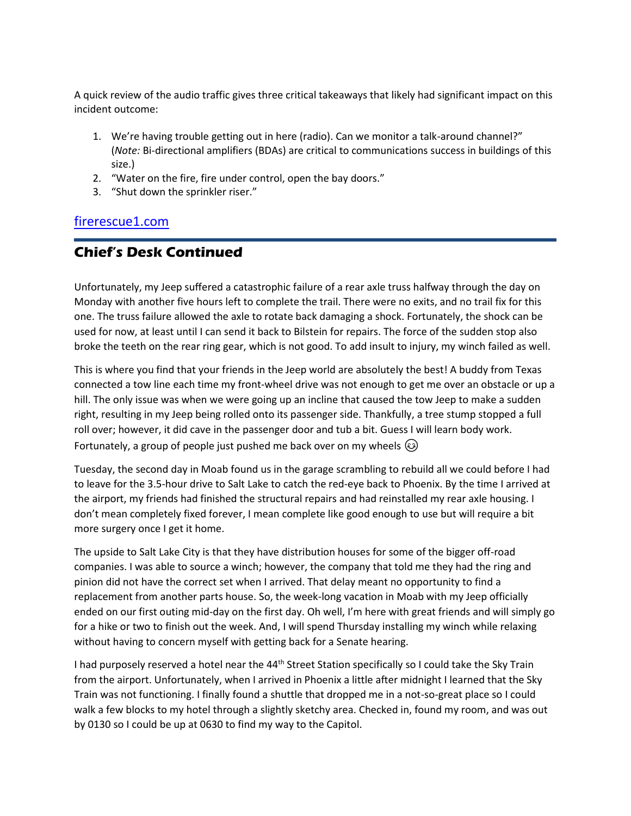A quick review of the audio traffic gives three critical takeaways that likely had significant impact on this incident outcome:

- 1. We're having trouble getting out in here (radio). Can we monitor a talk-around channel?" (*Note:* Bi-directional amplifiers (BDAs) are critical to communications success in buildings of this size.)
- 2. "Water on the fire, fire under control, open the bay doors."
- 3. "Shut down the sprinkler riser."

### [firerescue1.com](https://www.firerescue1.com/warehouse-fire/articles/rapid-response-walmart-facility-fire-highlights-safety-hazards-of-massive-enclosed-spaces-r6UP3CoxF8Cr310o/)

## **Chief's Desk Continued**

Unfortunately, my Jeep suffered a catastrophic failure of a rear axle truss halfway through the day on Monday with another five hours left to complete the trail. There were no exits, and no trail fix for this one. The truss failure allowed the axle to rotate back damaging a shock. Fortunately, the shock can be used for now, at least until I can send it back to Bilstein for repairs. The force of the sudden stop also broke the teeth on the rear ring gear, which is not good. To add insult to injury, my winch failed as well.

This is where you find that your friends in the Jeep world are absolutely the best! A buddy from Texas connected a tow line each time my front-wheel drive was not enough to get me over an obstacle or up a hill. The only issue was when we were going up an incline that caused the tow Jeep to make a sudden right, resulting in my Jeep being rolled onto its passenger side. Thankfully, a tree stump stopped a full roll over; however, it did cave in the passenger door and tub a bit. Guess I will learn body work. Fortunately, a group of people just pushed me back over on my wheels  $\circled{e}$ 

Tuesday, the second day in Moab found us in the garage scrambling to rebuild all we could before I had to leave for the 3.5-hour drive to Salt Lake to catch the red-eye back to Phoenix. By the time I arrived at the airport, my friends had finished the structural repairs and had reinstalled my rear axle housing. I don't mean completely fixed forever, I mean complete like good enough to use but will require a bit more surgery once I get it home.

The upside to Salt Lake City is that they have distribution houses for some of the bigger off-road companies. I was able to source a winch; however, the company that told me they had the ring and pinion did not have the correct set when I arrived. That delay meant no opportunity to find a replacement from another parts house. So, the week-long vacation in Moab with my Jeep officially ended on our first outing mid-day on the first day. Oh well, I'm here with great friends and will simply go for a hike or two to finish out the week. And, I will spend Thursday installing my winch while relaxing without having to concern myself with getting back for a Senate hearing.

I had purposely reserved a hotel near the 44<sup>th</sup> Street Station specifically so I could take the Sky Train from the airport. Unfortunately, when I arrived in Phoenix a little after midnight I learned that the Sky Train was not functioning. I finally found a shuttle that dropped me in a not-so-great place so I could walk a few blocks to my hotel through a slightly sketchy area. Checked in, found my room, and was out by 0130 so I could be up at 0630 to find my way to the Capitol.